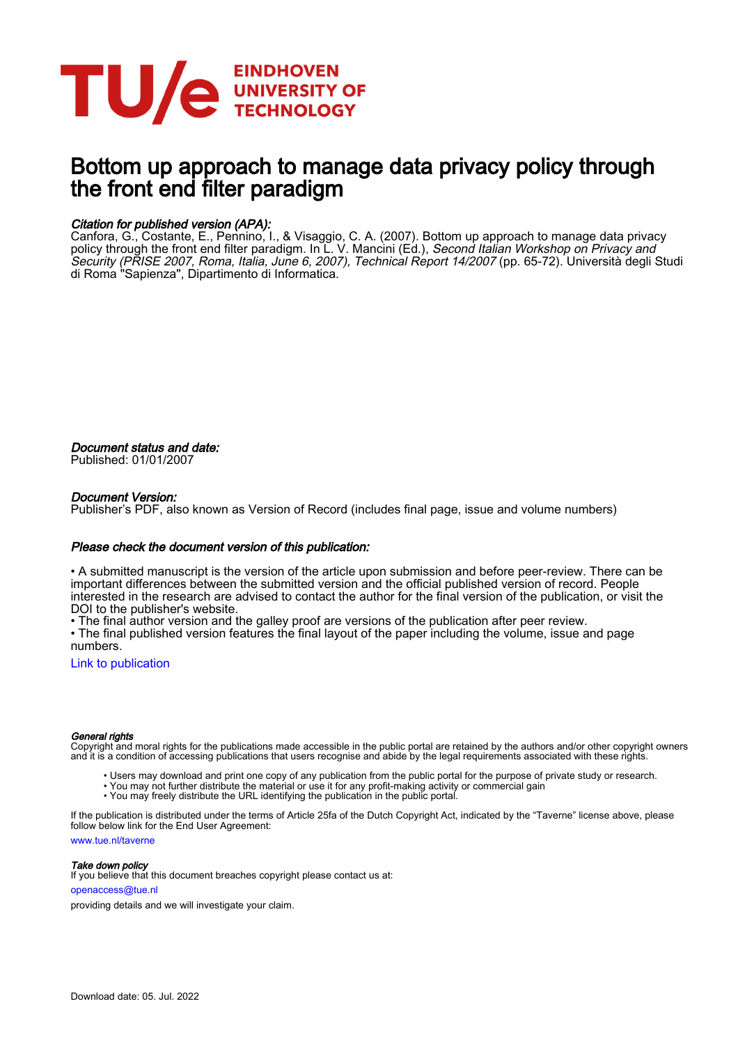

# Bottom up approach to manage data privacy policy through the front end filter paradigm

#### Citation for published version (APA):

Canfora, G., Costante, E., Pennino, I., & Visaggio, C. A. (2007). Bottom up approach to manage data privacy policy through the front end filter paradigm. In L. V. Mancini (Ed.), *Second Italian Workshop on Privacy and* Security (PRISE 2007, Roma, Italia, June 6, 2007), Technical Report 14/2007 (pp. 65-72). Università degli Studi di Roma "Sapienza", Dipartimento di Informatica.

Document status and date: Published: 01/01/2007

#### Document Version:

Publisher's PDF, also known as Version of Record (includes final page, issue and volume numbers)

#### Please check the document version of this publication:

• A submitted manuscript is the version of the article upon submission and before peer-review. There can be important differences between the submitted version and the official published version of record. People interested in the research are advised to contact the author for the final version of the publication, or visit the DOI to the publisher's website.

• The final author version and the galley proof are versions of the publication after peer review.

• The final published version features the final layout of the paper including the volume, issue and page numbers.

[Link to publication](https://research.tue.nl/en/publications/8f9b666b-7898-4603-8b9d-1bc15a05d432)

#### General rights

Copyright and moral rights for the publications made accessible in the public portal are retained by the authors and/or other copyright owners and it is a condition of accessing publications that users recognise and abide by the legal requirements associated with these rights.

- Users may download and print one copy of any publication from the public portal for the purpose of private study or research.
- You may not further distribute the material or use it for any profit-making activity or commercial gain
- You may freely distribute the URL identifying the publication in the public portal.

If the publication is distributed under the terms of Article 25fa of the Dutch Copyright Act, indicated by the "Taverne" license above, please follow below link for the End User Agreement:

www.tue.nl/taverne

**Take down policy**<br>If you believe that this document breaches copyright please contact us at:

openaccess@tue.nl

providing details and we will investigate your claim.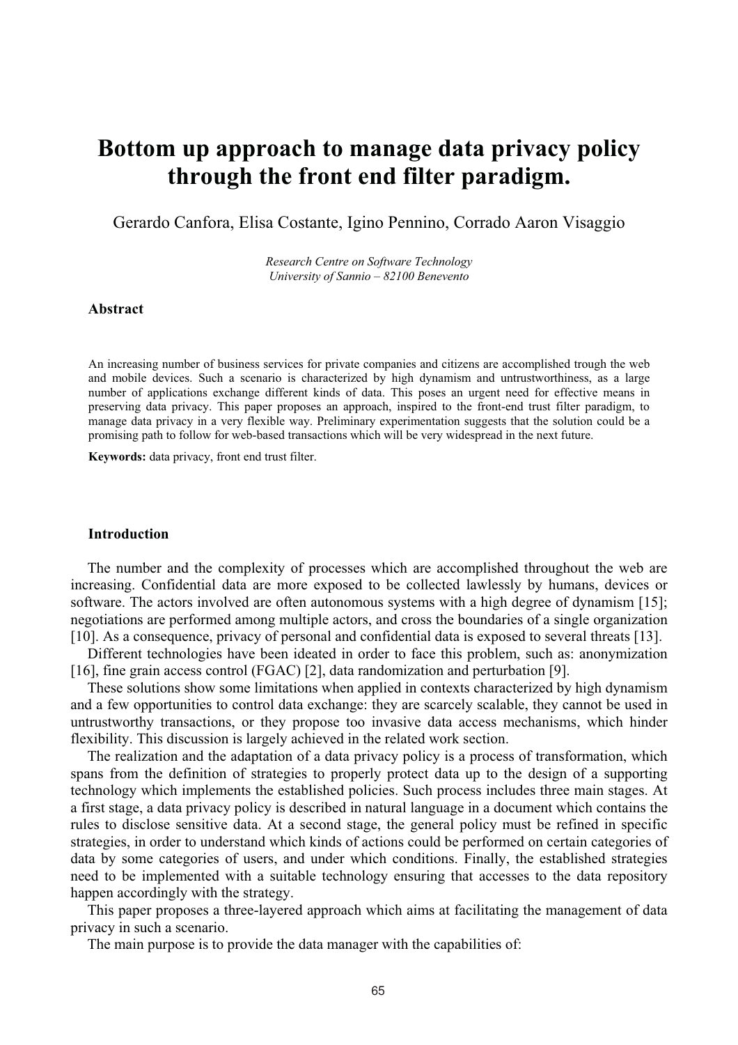# **Bottom up approach to manage data privacy policy through the front end filter paradigm.**

Gerardo Canfora, Elisa Costante, Igino Pennino, Corrado Aaron Visaggio

*Research Centre on Software Technology University of Sannio – 82100 Benevento* 

#### **Abstract**

An increasing number of business services for private companies and citizens are accomplished trough the web and mobile devices. Such a scenario is characterized by high dynamism and untrustworthiness, as a large number of applications exchange different kinds of data. This poses an urgent need for effective means in preserving data privacy. This paper proposes an approach, inspired to the front-end trust filter paradigm, to manage data privacy in a very flexible way. Preliminary experimentation suggests that the solution could be a promising path to follow for web-based transactions which will be very widespread in the next future.

**Keywords:** data privacy, front end trust filter.

#### **Introduction**

The number and the complexity of processes which are accomplished throughout the web are increasing. Confidential data are more exposed to be collected lawlessly by humans, devices or software. The actors involved are often autonomous systems with a high degree of dynamism [15]; negotiations are performed among multiple actors, and cross the boundaries of a single organization [10]. As a consequence, privacy of personal and confidential data is exposed to several threats [13].

Different technologies have been ideated in order to face this problem, such as: anonymization [16], fine grain access control (FGAC) [2], data randomization and perturbation [9].

These solutions show some limitations when applied in contexts characterized by high dynamism and a few opportunities to control data exchange: they are scarcely scalable, they cannot be used in untrustworthy transactions, or they propose too invasive data access mechanisms, which hinder flexibility. This discussion is largely achieved in the related work section.

The realization and the adaptation of a data privacy policy is a process of transformation, which spans from the definition of strategies to properly protect data up to the design of a supporting technology which implements the established policies. Such process includes three main stages. At a first stage, a data privacy policy is described in natural language in a document which contains the rules to disclose sensitive data. At a second stage, the general policy must be refined in specific strategies, in order to understand which kinds of actions could be performed on certain categories of data by some categories of users, and under which conditions. Finally, the established strategies need to be implemented with a suitable technology ensuring that accesses to the data repository happen accordingly with the strategy.

This paper proposes a three-layered approach which aims at facilitating the management of data privacy in such a scenario.

The main purpose is to provide the data manager with the capabilities of: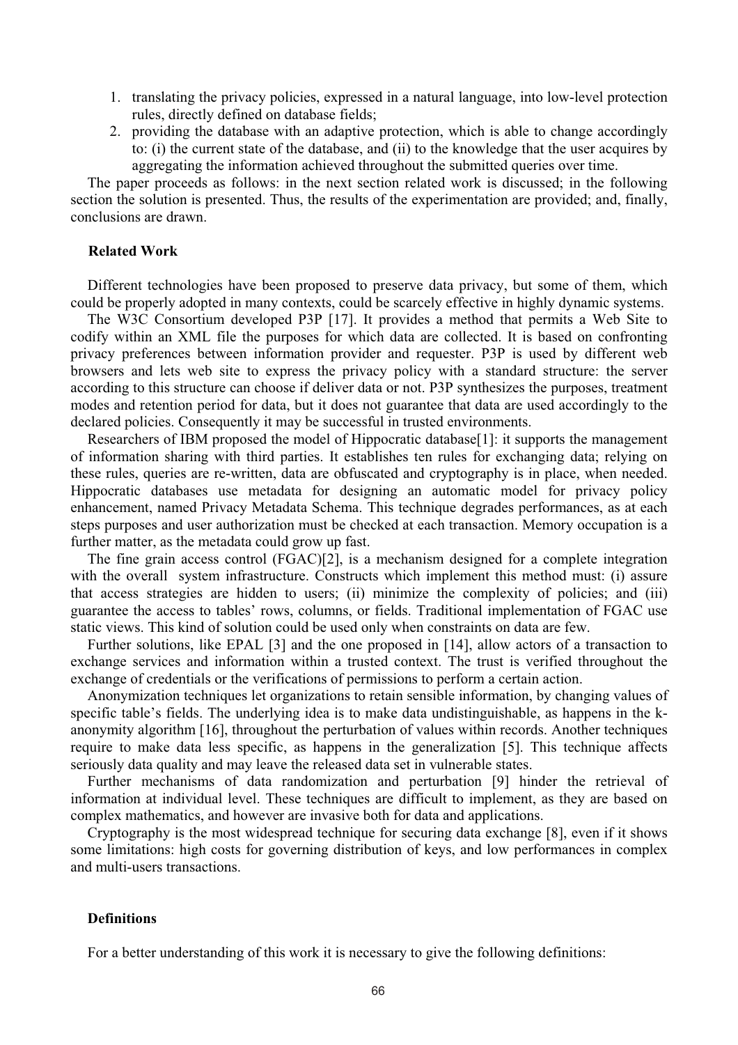- 1. translating the privacy policies, expressed in a natural language, into low-level protection rules, directly defined on database fields;
- 2. providing the database with an adaptive protection, which is able to change accordingly to: (i) the current state of the database, and (ii) to the knowledge that the user acquires by aggregating the information achieved throughout the submitted queries over time.

The paper proceeds as follows: in the next section related work is discussed; in the following section the solution is presented. Thus, the results of the experimentation are provided; and, finally, conclusions are drawn.

## **Related Work**

Different technologies have been proposed to preserve data privacy, but some of them, which could be properly adopted in many contexts, could be scarcely effective in highly dynamic systems.

The W3C Consortium developed P3P [17]. It provides a method that permits a Web Site to codify within an XML file the purposes for which data are collected. It is based on confronting privacy preferences between information provider and requester. P3P is used by different web browsers and lets web site to express the privacy policy with a standard structure: the server according to this structure can choose if deliver data or not. P3P synthesizes the purposes, treatment modes and retention period for data, but it does not guarantee that data are used accordingly to the declared policies. Consequently it may be successful in trusted environments.

Researchers of IBM proposed the model of Hippocratic database [1]: it supports the management of information sharing with third parties. It establishes ten rules for exchanging data; relying on these rules, queries are re-written, data are obfuscated and cryptography is in place, when needed. Hippocratic databases use metadata for designing an automatic model for privacy policy enhancement, named Privacy Metadata Schema. This technique degrades performances, as at each steps purposes and user authorization must be checked at each transaction. Memory occupation is a further matter, as the metadata could grow up fast.

The fine grain access control (FGAC)[2], is a mechanism designed for a complete integration with the overall system infrastructure. Constructs which implement this method must: (i) assure that access strategies are hidden to users; (ii) minimize the complexity of policies; and (iii) guarantee the access to tables' rows, columns, or fields. Traditional implementation of FGAC use static views. This kind of solution could be used only when constraints on data are few.

Further solutions, like EPAL [3] and the one proposed in [14], allow actors of a transaction to exchange services and information within a trusted context. The trust is verified throughout the exchange of credentials or the verifications of permissions to perform a certain action.

Anonymization techniques let organizations to retain sensible information, by changing values of specific table's fields. The underlying idea is to make data undistinguishable, as happens in the kanonymity algorithm [16], throughout the perturbation of values within records. Another techniques require to make data less specific, as happens in the generalization [5]. This technique affects seriously data quality and may leave the released data set in vulnerable states.

Further mechanisms of data randomization and perturbation [9] hinder the retrieval of information at individual level. These techniques are difficult to implement, as they are based on complex mathematics, and however are invasive both for data and applications.

Cryptography is the most widespread technique for securing data exchange [8], even if it shows some limitations: high costs for governing distribution of keys, and low performances in complex and multi-users transactions.

#### **Definitions**

For a better understanding of this work it is necessary to give the following definitions: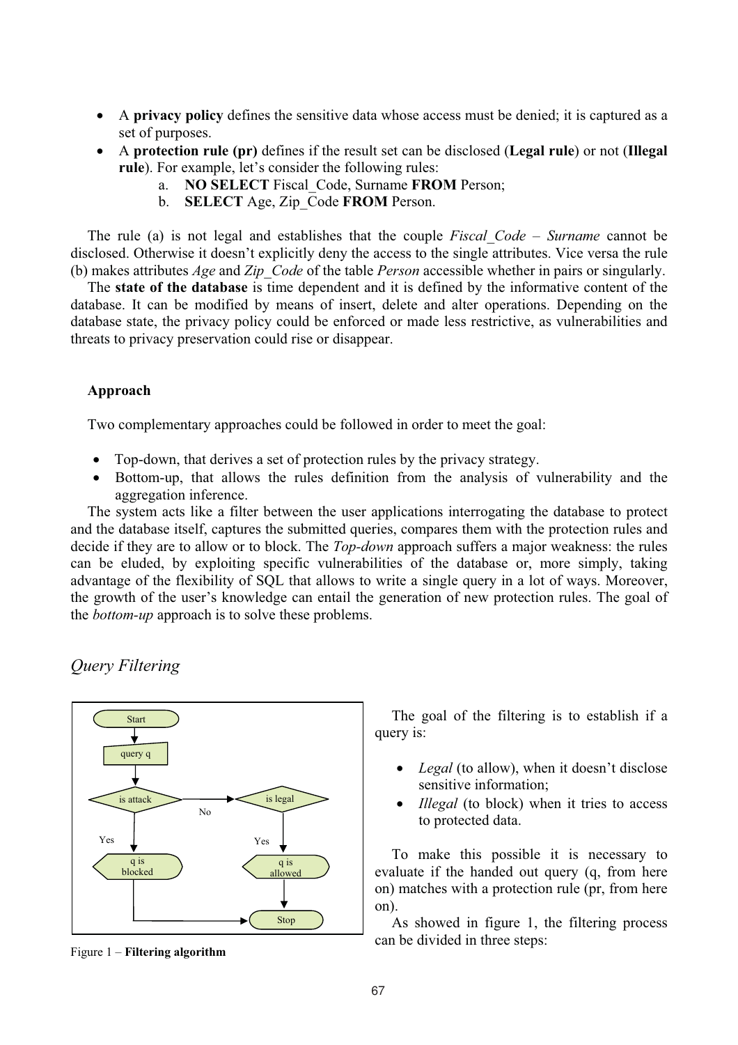- $\bullet$  A **privacy policy** defines the sensitive data whose access must be denied; it is captured as a set of purposes.
- 0 A **protection rule (pr)** defines if the result set can be disclosed (**Legal rule**) or not (**Illegal rule**). For example, let's consider the following rules:
	- a. **NO SELECT** Fiscal\_Code, Surname **FROM** Person;
	- b. **SELECT** Age, Zip\_Code **FROM** Person.

The rule (a) is not legal and establishes that the couple *Fiscal\_Code – Surname* cannot be disclosed. Otherwise it doesn't explicitly deny the access to the single attributes. Vice versa the rule (b) makes attributes *Age* and *Zip\_Code* of the table *Person* accessible whether in pairs or singularly.

The **state of the database** is time dependent and it is defined by the informative content of the database. It can be modified by means of insert, delete and alter operations. Depending on the database state, the privacy policy could be enforced or made less restrictive, as vulnerabilities and threats to privacy preservation could rise or disappear.

## **Approach**

Two complementary approaches could be followed in order to meet the goal:

- $\bullet$ Top-down, that derives a set of protection rules by the privacy strategy.
- $\bullet$  Bottom-up, that allows the rules definition from the analysis of vulnerability and the aggregation inference.

The system acts like a filter between the user applications interrogating the database to protect and the database itself, captures the submitted queries, compares them with the protection rules and decide if they are to allow or to block. The *Top-down* approach suffers a major weakness: the rules can be eluded, by exploiting specific vulnerabilities of the database or, more simply, taking advantage of the flexibility of SQL that allows to write a single query in a lot of ways. Moreover, the growth of the user's knowledge can entail the generation of new protection rules. The goal of the *bottom-up* approach is to solve these problems.

*Query Filtering* 



The goal of the filtering is to establish if a query is:

- 0 *Legal* (to allow), when it doesn't disclose sensitive information;
- 0 *Illegal* (to block) when it tries to access to protected data.

To make this possible it is necessary to evaluate if the handed out query (q, from here on) matches with a protection rule (pr, from here on).

As showed in figure 1, the filtering process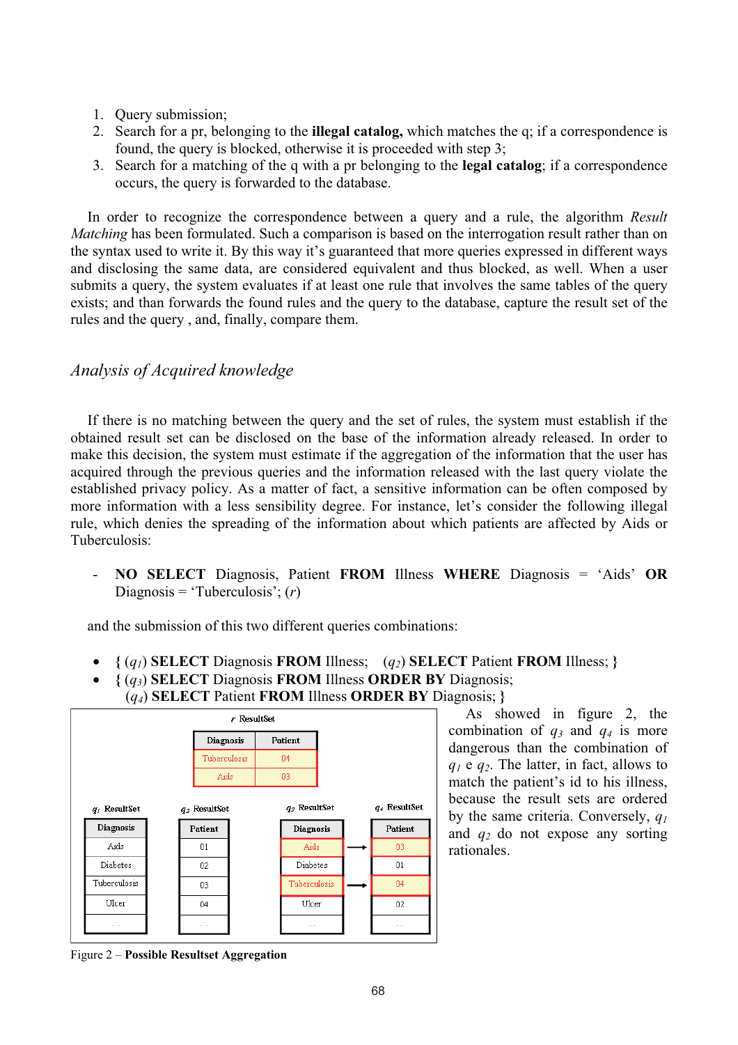- 1. Query submission;
- 2. Search for a pr, belonging to the **illegal catalog,** which matches the q; if a correspondence is found, the query is blocked, otherwise it is proceeded with step 3;
- 3. Search for a matching of the q with a pr belonging to the **legal catalog**; if a correspondence occurs, the query is forwarded to the database.

In order to recognize the correspondence between a query and a rule, the algorithm *Result Matching* has been formulated. Such a comparison is based on the interrogation result rather than on the syntax used to write it. By this way it's guaranteed that more queries expressed in different ways and disclosing the same data, are considered equivalent and thus blocked, as well. When a user submits a query, the system evaluates if at least one rule that involves the same tables of the query exists; and than forwards the found rules and the query to the database, capture the result set of the rules and the query , and, finally, compare them.

# *Analysis of Acquired knowledge*

If there is no matching between the query and the set of rules, the system must establish if the obtained result set can be disclosed on the base of the information already released. In order to make this decision, the system must estimate if the aggregation of the information that the user has acquired through the previous queries and the information released with the last query violate the established privacy policy. As a matter of fact, a sensitive information can be often composed by more information with a less sensibility degree. For instance, let's consider the following illegal rule, which denies the spreading of the information about which patients are affected by Aids or Tuberculosis:

- **NO SELECT** Diagnosis, Patient **FROM** Illness **WHERE** Diagnosis = 'Aids' **OR** Diagnosis = 'Tuberculosis'; (*r*)

and the submission of this two different queries combinations:

- $\bullet$ **{** (*q1*) **SELECT** Diagnosis **FROM** Illness; (*q2*) **SELECT** Patient **FROM** Illness; **}**
- 0 **{** (*q3*) **SELECT** Diagnosis **FROM** Illness **ORDER BY** Diagnosis;
- (*q4*) **SELECT** Patient **FROM** Illness **ORDER BY** Diagnosis; **}**



As showed in figure 2, the combination of  $q_3$  and  $q_4$  is more dangerous than the combination of *q1* e *q2*. The latter, in fact, allows to match the patient's id to his illness, because the result sets are ordered by the same criteria. Conversely, *q1* and *q2* do not expose any sorting rationales.

Figure 2 – **Possible Resultset Aggregation**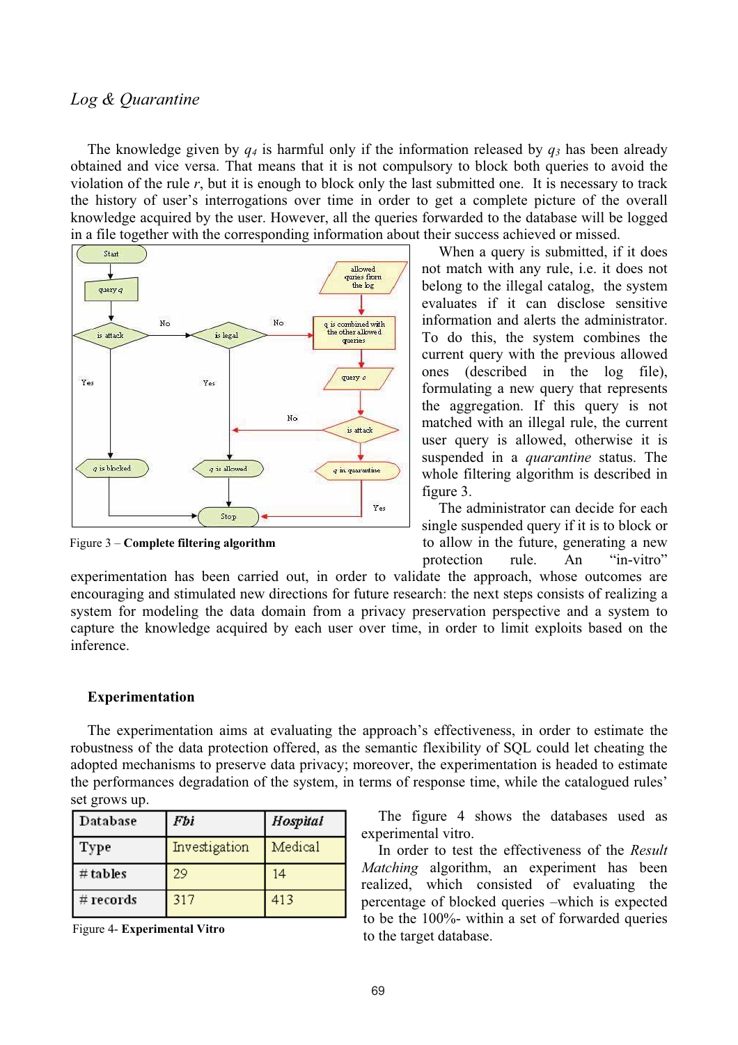## *Log & Quarantine*

The knowledge given by *q4* is harmful only if the information released by *q3* has been already obtained and vice versa. That means that it is not compulsory to block both queries to avoid the violation of the rule  $r$ , but it is enough to block only the last submitted one. It is necessary to track the history of user's interrogations over time in order to get a complete picture of the overall knowledge acquired by the user. However, all the queries forwarded to the database will be logged in a file together with the corresponding information about their success achieved or missed.



Figure 3 – **Complete filtering algorithm**

When a query is submitted, if it does not match with any rule, i.e. it does not belong to the illegal catalog, the system evaluates if it can disclose sensitive information and alerts the administrator. To do this, the system combines the current query with the previous allowed ones (described in the log file), formulating a new query that represents the aggregation. If this query is not matched with an illegal rule, the current user query is allowed, otherwise it is suspended in a *quarantine* status. The whole filtering algorithm is described in figure 3.

The administrator can decide for each single suspended query if it is to block or to allow in the future, generating a new protection rule. An "in-vitro"

experimentation has been carried out, in order to validate the approach, whose outcomes are encouraging and stimulated new directions for future research: the next steps consists of realizing a system for modeling the data domain from a privacy preservation perspective and a system to capture the knowledge acquired by each user over time, in order to limit exploits based on the inference.

#### **Experimentation**

The experimentation aims at evaluating the approach's effectiveness, in order to estimate the robustness of the data protection offered, as the semantic flexibility of SQL could let cheating the adopted mechanisms to preserve data privacy; moreover, the experimentation is headed to estimate the performances degradation of the system, in terms of response time, while the catalogued rules' set grows up.

| Database  | Fbi           | Hospital |
|-----------|---------------|----------|
| Type      | Investigation | Medical  |
| # tables  | 29            | 14       |
| # records | 317           | 413      |

Figure 4- **Experimental Vitro**

The figure 4 shows the databases used as experimental vitro.

In order to test the effectiveness of the *Result Matching* algorithm, an experiment has been realized, which consisted of evaluating the percentage of blocked queries –which is expected to be the 100%- within a set of forwarded queries to the target database.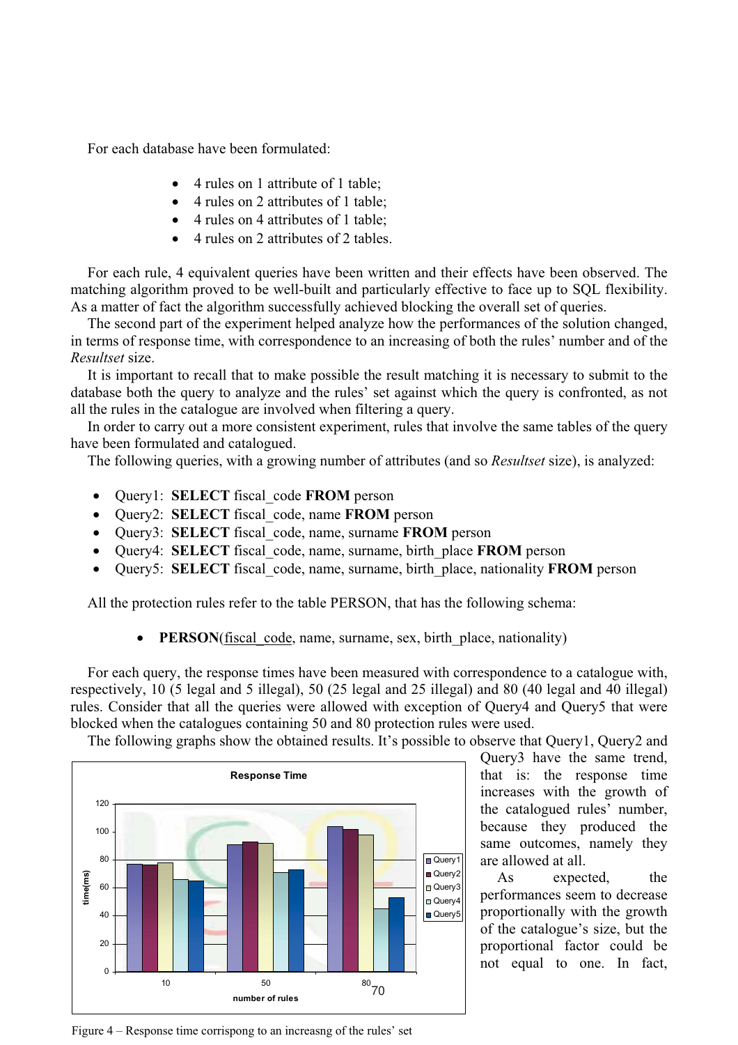For each database have been formulated:

- 4 rules on 1 attribute of 1 table;
- 4 rules on 2 attributes of 1 table;
- $\bullet$ 4 rules on 4 attributes of 1 table;
- $\bullet$ 4 rules on 2 attributes of 2 tables.

For each rule, 4 equivalent queries have been written and their effects have been observed. The matching algorithm proved to be well-built and particularly effective to face up to SQL flexibility. As a matter of fact the algorithm successfully achieved blocking the overall set of queries.

The second part of the experiment helped analyze how the performances of the solution changed, in terms of response time, with correspondence to an increasing of both the rules' number and of the *Resultset* size.

It is important to recall that to make possible the result matching it is necessary to submit to the database both the query to analyze and the rules' set against which the query is confronted, as not all the rules in the catalogue are involved when filtering a query.

In order to carry out a more consistent experiment, rules that involve the same tables of the query have been formulated and catalogued.

The following queries, with a growing number of attributes (and so *Resultset* size), is analyzed:

- $\bullet$ Query1: **SELECT** fiscal\_code **FROM** person
- x Query2: **SELECT** fiscal\_code, name **FROM** person
- x Query3: **SELECT** fiscal\_code, name, surname **FROM** person
- $\bullet$ Query4: **SELECT** fiscal\_code, name, surname, birth\_place **FROM** person
- 0 Query5: **SELECT** fiscal\_code, name, surname, birth\_place, nationality **FROM** person

All the protection rules refer to the table PERSON, that has the following schema:

0 **PERSON**(fiscal\_code, name, surname, sex, birth\_place, nationality)

For each query, the response times have been measured with correspondence to a catalogue with, respectively, 10 (5 legal and 5 illegal), 50 (25 legal and 25 illegal) and 80 (40 legal and 40 illegal) rules. Consider that all the queries were allowed with exception of Query4 and Query5 that were blocked when the catalogues containing 50 and 80 protection rules were used.

The following graphs show the obtained results. It's possible to observe that Query1, Query2 and



Query3 have the same trend, that is: the response time increases with the growth of the catalogued rules' number, because they produced the same outcomes, namely they are allowed at all.

As expected, the performances seem to decrease proportionally with the growth of the catalogue's size, but the proportional factor could be not equal to one. In fact,

Figure 4 – Response time corrispong to an increasng of the rules' set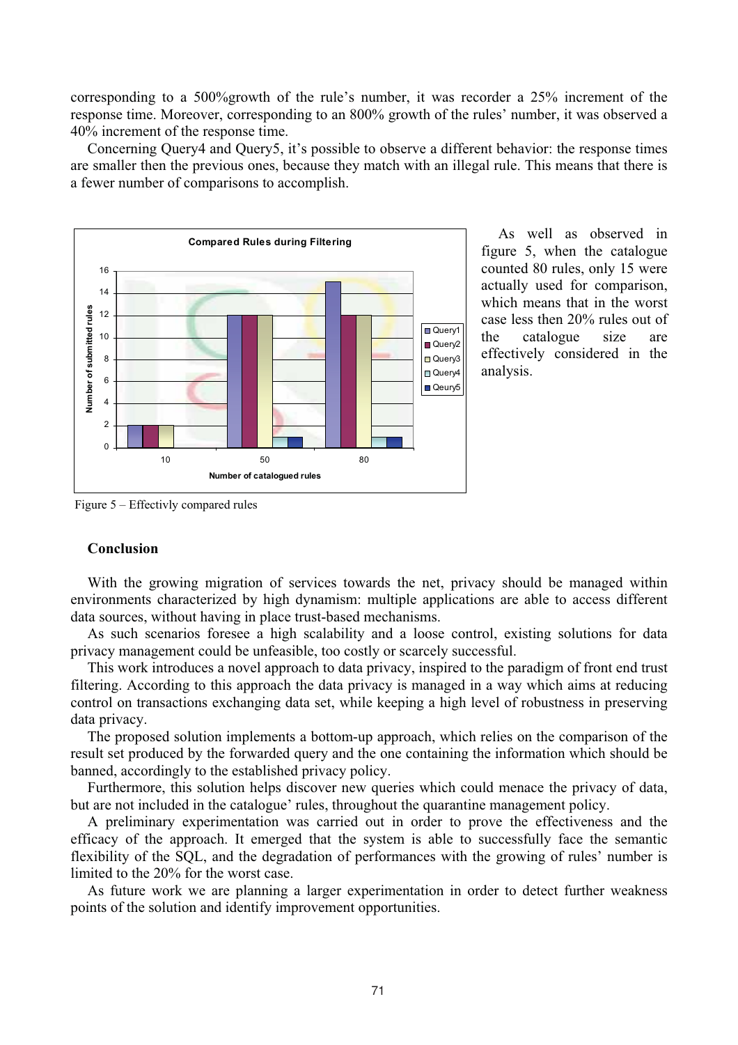corresponding to a 500%growth of the rule's number, it was recorder a 25% increment of the response time. Moreover, corresponding to an 800% growth of the rules' number, it was observed a 40% increment of the response time.

Concerning Query4 and Query5, it's possible to observe a different behavior: the response times are smaller then the previous ones, because they match with an illegal rule. This means that there is a fewer number of comparisons to accomplish.



As well as observed in figure 5, when the catalogue counted 80 rules, only 15 were actually used for comparison, which means that in the worst case less then 20% rules out of the catalogue size are effectively considered in the analysis.

Figure 5 – Effectivly compared rules

#### **Conclusion**

With the growing migration of services towards the net, privacy should be managed within environments characterized by high dynamism: multiple applications are able to access different data sources, without having in place trust-based mechanisms.

As such scenarios foresee a high scalability and a loose control, existing solutions for data privacy management could be unfeasible, too costly or scarcely successful.

This work introduces a novel approach to data privacy, inspired to the paradigm of front end trust filtering. According to this approach the data privacy is managed in a way which aims at reducing control on transactions exchanging data set, while keeping a high level of robustness in preserving data privacy.

The proposed solution implements a bottom-up approach, which relies on the comparison of the result set produced by the forwarded query and the one containing the information which should be banned, accordingly to the established privacy policy.

Furthermore, this solution helps discover new queries which could menace the privacy of data, but are not included in the catalogue' rules, throughout the quarantine management policy.

A preliminary experimentation was carried out in order to prove the effectiveness and the efficacy of the approach. It emerged that the system is able to successfully face the semantic flexibility of the SQL, and the degradation of performances with the growing of rules' number is limited to the 20% for the worst case.

As future work we are planning a larger experimentation in order to detect further weakness points of the solution and identify improvement opportunities.